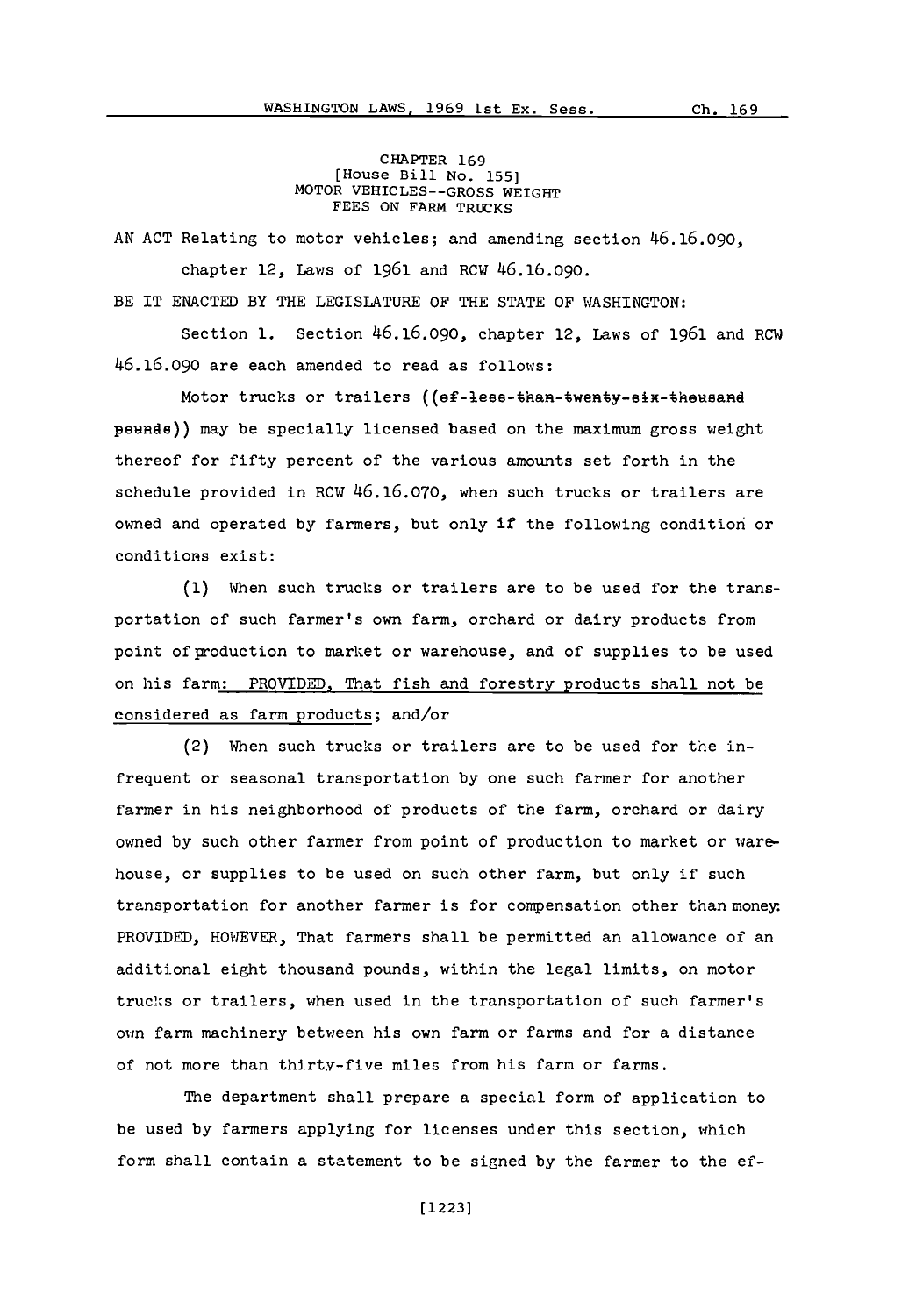CHAPTER **169** [House Bill No. **155]** MOTOR VEHICLES--GROSS WEIGHT **FEES ON** FARM TRUCKS

**AN ACT** Relating to motor vehicles; and amending section 46.16.090,

chapter 12, Laws of **1961** and RCW 46.16.090.

BE IT **EXACTED** BY THE LEGISLATURE OF THE **STATE** OF WASHINGTON:

Section **1.** Section 46.16.090, chapter 12, Laws of **1961** and RCW 46.16.090 are each amended to read as follows:

Motor trucks or trailers  $((ef-lees-then-Wenty-eix-theusand$ pewade)) may be specially licensed based on the maximum gross weight thereof for fifty percent of the various amounts set forth in the schedule provided in RCW **46.16.070,** when such trucks or trailers are owned and operated **by** farmers, but only if the following condition or conditions exist:

**(1)** When such trucks or trailers are to be used for the transportation of such farmer's own farm, orchard or dairy products from point of production to market or warehouse, and of supplies to be used on his farm: PROVIDED. That fish and forestry products shall not be considered as farm products; and/or

(2) When such trucks or trailers are to be used for the infrequent or seasonal transportation **by** one such farmer for another farmer in his neighborhood of products of the farm, orchard or dairy owned **by** such other farmer from point of production to market or warehouse, or supplies to be used on such other farm, but only if such transportation for another farmer is for compensation other than money-PROVIDED, HOWEVER, That farmers shall be permitted an allowance of an additional eight thousand pounds, within the legal limits, on motor trucks or trailers, when used in the transportation of such farmer's own farm machinery between his own farm or farms and for a distance of not more than thirty-five miles from his farm or farms.

The department shall prepare a special form of application to be used **by** farmers applying for licenses under this section, which form shall contain a statement to be signed **by** the farmer to the ef-

**[ 12231**